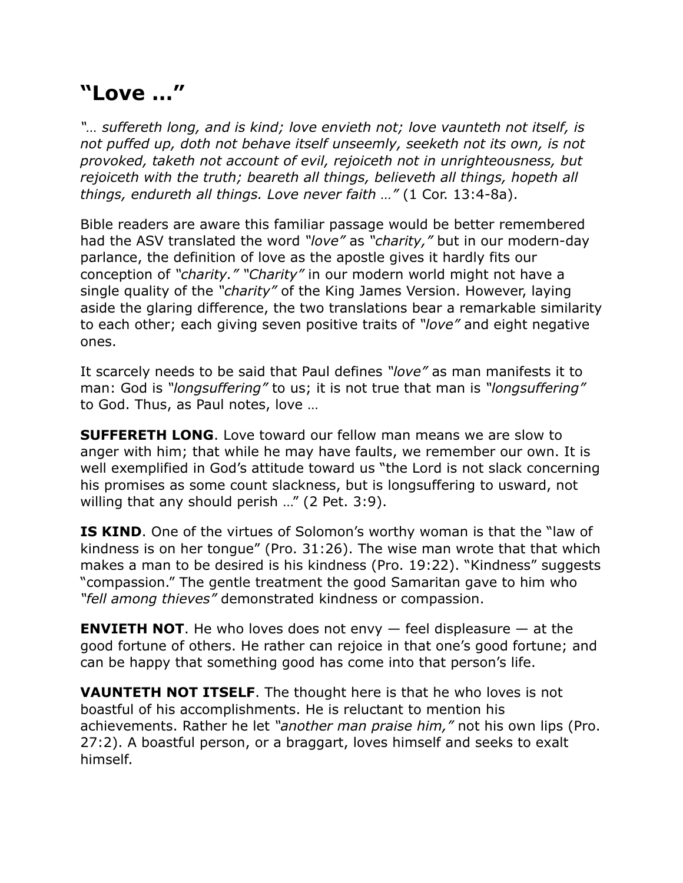## **"Love …"**

*"… suffereth long, and is kind; love envieth not; love vaunteth not itself, is not puffed up, doth not behave itself unseemly, seeketh not its own, is not provoked, taketh not account of evil, rejoiceth not in unrighteousness, but rejoiceth with the truth; beareth all things, believeth all things, hopeth all things, endureth all things. Love never faith …"* (1 Cor. 13:4-8a).

Bible readers are aware this familiar passage would be better remembered had the ASV translated the word *"love"* as *"charity,"* but in our modern-day parlance, the definition of love as the apostle gives it hardly fits our conception of *"charity." "Charity"* in our modern world might not have a single quality of the *"charity"* of the King James Version. However, laying aside the glaring difference, the two translations bear a remarkable similarity to each other; each giving seven positive traits of *"love"* and eight negative ones.

It scarcely needs to be said that Paul defines *"love"* as man manifests it to man: God is *"longsuffering"* to us; it is not true that man is *"longsuffering"* to God. Thus, as Paul notes, love …

**SUFFERETH LONG**. Love toward our fellow man means we are slow to anger with him; that while he may have faults, we remember our own. It is well exemplified in God's attitude toward us "the Lord is not slack concerning his promises as some count slackness, but is longsuffering to usward, not willing that any should perish ..." (2 Pet. 3:9).

**IS KIND.** One of the virtues of Solomon's worthy woman is that the "law of kindness is on her tongue" (Pro. 31:26). The wise man wrote that that which makes a man to be desired is his kindness (Pro. 19:22). "Kindness" suggests "compassion." The gentle treatment the good Samaritan gave to him who *"fell among thieves"* demonstrated kindness or compassion.

**ENVIETH NOT.** He who loves does not envy  $-$  feel displeasure  $-$  at the good fortune of others. He rather can rejoice in that one's good fortune; and can be happy that something good has come into that person's life.

**VAUNTETH NOT ITSELF**. The thought here is that he who loves is not boastful of his accomplishments. He is reluctant to mention his achievements. Rather he let *"another man praise him,"* not his own lips (Pro. 27:2). A boastful person, or a braggart, loves himself and seeks to exalt himself.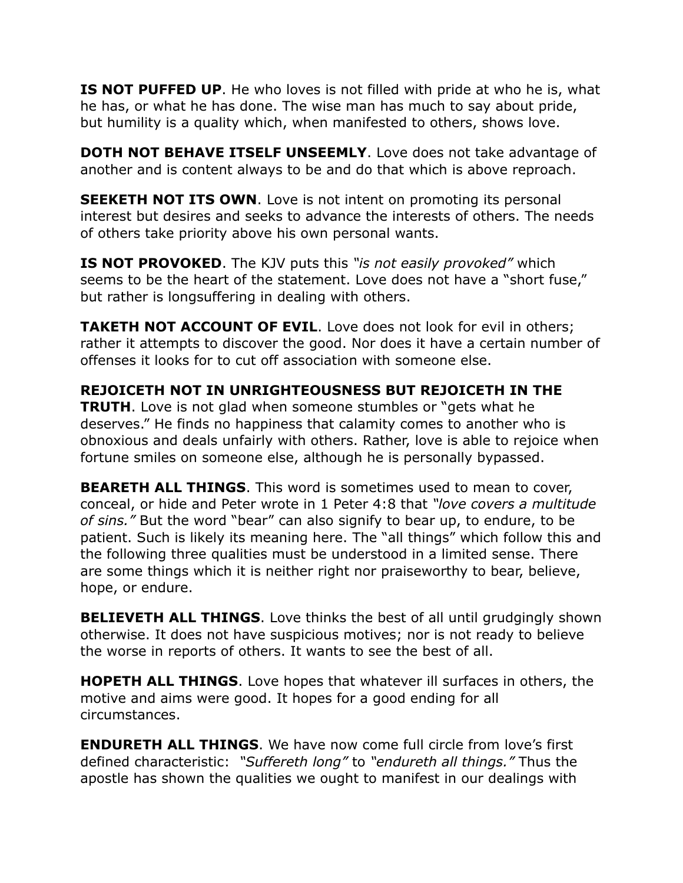**IS NOT PUFFED UP.** He who loves is not filled with pride at who he is, what he has, or what he has done. The wise man has much to say about pride, but humility is a quality which, when manifested to others, shows love.

**DOTH NOT BEHAVE ITSELF UNSEEMLY.** Love does not take advantage of another and is content always to be and do that which is above reproach.

**SEEKETH NOT ITS OWN.** Love is not intent on promoting its personal interest but desires and seeks to advance the interests of others. The needs of others take priority above his own personal wants.

**IS NOT PROVOKED**. The KJV puts this *"is not easily provoked"* which seems to be the heart of the statement. Love does not have a "short fuse," but rather is longsuffering in dealing with others.

**TAKETH NOT ACCOUNT OF EVIL.** Love does not look for evil in others; rather it attempts to discover the good. Nor does it have a certain number of offenses it looks for to cut off association with someone else.

**REJOICETH NOT IN UNRIGHTEOUSNESS BUT REJOICETH IN THE TRUTH**. Love is not glad when someone stumbles or "gets what he deserves." He finds no happiness that calamity comes to another who is obnoxious and deals unfairly with others. Rather, love is able to rejoice when fortune smiles on someone else, although he is personally bypassed.

**BEARETH ALL THINGS**. This word is sometimes used to mean to cover, conceal, or hide and Peter wrote in 1 Peter 4:8 that *"love covers a multitude of sins."* But the word "bear" can also signify to bear up, to endure, to be patient. Such is likely its meaning here. The "all things" which follow this and the following three qualities must be understood in a limited sense. There are some things which it is neither right nor praiseworthy to bear, believe, hope, or endure.

**BELIEVETH ALL THINGS.** Love thinks the best of all until grudgingly shown otherwise. It does not have suspicious motives; nor is not ready to believe the worse in reports of others. It wants to see the best of all.

**HOPETH ALL THINGS**. Love hopes that whatever ill surfaces in others, the motive and aims were good. It hopes for a good ending for all circumstances.

**ENDURETH ALL THINGS**. We have now come full circle from love's first defined characteristic: *"Suffereth long"* to *"endureth all things."* Thus the apostle has shown the qualities we ought to manifest in our dealings with